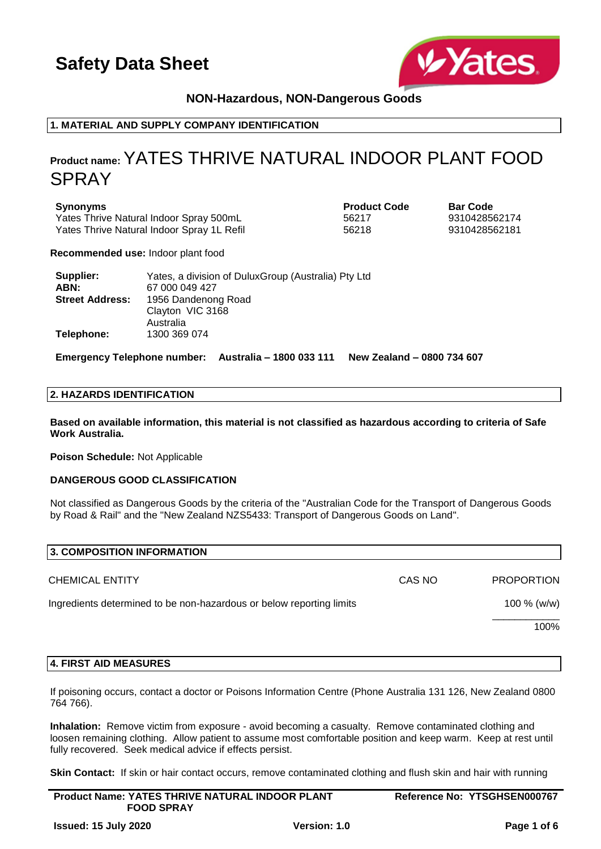

## **NON-Hazardous, NON-Dangerous Goods**

## **1. MATERIAL AND SUPPLY COMPANY IDENTIFICATION**

## **Product name:** YATES THRIVE NATURAL INDOOR PLANT FOOD SPRAY

**Synonyms Product Code Bar Code** Yates Thrive Natural Indoor Spray 500mL 56217 56217 9310428562174 Yates Thrive Natural Indoor Spray 1L Refil 56218 56218 9310428562181

**Recommended use:** Indoor plant food

| Supplier:              | Yates, a division of DuluxGroup (Australia) Pty Ltd |
|------------------------|-----------------------------------------------------|
| ABN:                   | 67 000 049 427                                      |
| <b>Street Address:</b> | 1956 Dandenong Road                                 |
|                        | Clayton VIC 3168                                    |
|                        | Australia                                           |
| Telephone:             | 1300 369 074                                        |

**Emergency Telephone number: Australia – 1800 033 111 New Zealand – 0800 734 607**

## **2. HAZARDS IDENTIFICATION**

**Based on available information, this material is not classified as hazardous according to criteria of Safe Work Australia.**

**Poison Schedule:** Not Applicable

## **DANGEROUS GOOD CLASSIFICATION**

Not classified as Dangerous Goods by the criteria of the "Australian Code for the Transport of Dangerous Goods by Road & Rail" and the "New Zealand NZS5433: Transport of Dangerous Goods on Land".

| CAS NO | <b>PROPORTION</b> |
|--------|-------------------|
|        | 100 $% (w/w)$     |
|        | 100%              |
|        |                   |

#### **4. FIRST AID MEASURES**

If poisoning occurs, contact a doctor or Poisons Information Centre (Phone Australia 131 126, New Zealand 0800 764 766).

**Inhalation:** Remove victim from exposure - avoid becoming a casualty. Remove contaminated clothing and loosen remaining clothing. Allow patient to assume most comfortable position and keep warm. Keep at rest until fully recovered. Seek medical advice if effects persist.

**Skin Contact:** If skin or hair contact occurs, remove contaminated clothing and flush skin and hair with running

| <b>Product Name: YATES THRIVE NATURAL INDOOR PLANT</b> | Reference No: YTSGHSEN000767 |
|--------------------------------------------------------|------------------------------|
| <b>FOOD SPRAY</b>                                      |                              |
|                                                        |                              |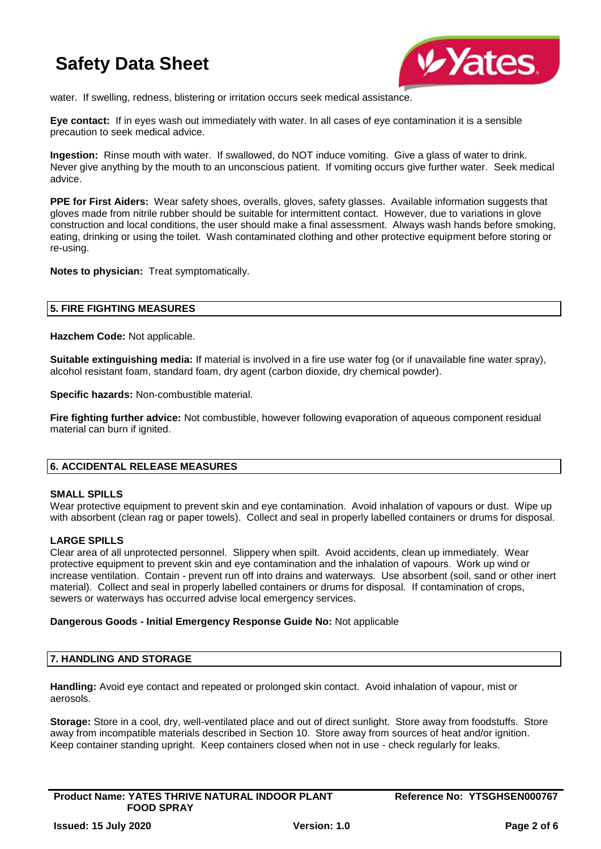

water. If swelling, redness, blistering or irritation occurs seek medical assistance.

**Eye contact:** If in eyes wash out immediately with water. In all cases of eye contamination it is a sensible precaution to seek medical advice.

**Ingestion:** Rinse mouth with water. If swallowed, do NOT induce vomiting. Give a glass of water to drink. Never give anything by the mouth to an unconscious patient. If vomiting occurs give further water. Seek medical advice.

**PPE for First Aiders:** Wear safety shoes, overalls, gloves, safety glasses. Available information suggests that gloves made from nitrile rubber should be suitable for intermittent contact. However, due to variations in glove construction and local conditions, the user should make a final assessment. Always wash hands before smoking, eating, drinking or using the toilet. Wash contaminated clothing and other protective equipment before storing or re-using.

**Notes to physician:** Treat symptomatically.

#### **5. FIRE FIGHTING MEASURES**

**Hazchem Code:** Not applicable.

**Suitable extinguishing media:** If material is involved in a fire use water fog (or if unavailable fine water spray), alcohol resistant foam, standard foam, dry agent (carbon dioxide, dry chemical powder).

**Specific hazards:** Non-combustible material.

**Fire fighting further advice:** Not combustible, however following evaporation of aqueous component residual material can burn if ignited.

## **6. ACCIDENTAL RELEASE MEASURES**

#### **SMALL SPILLS**

Wear protective equipment to prevent skin and eye contamination. Avoid inhalation of vapours or dust. Wipe up with absorbent (clean rag or paper towels). Collect and seal in properly labelled containers or drums for disposal.

## **LARGE SPILLS**

Clear area of all unprotected personnel. Slippery when spilt. Avoid accidents, clean up immediately. Wear protective equipment to prevent skin and eye contamination and the inhalation of vapours. Work up wind or increase ventilation. Contain - prevent run off into drains and waterways. Use absorbent (soil, sand or other inert material). Collect and seal in properly labelled containers or drums for disposal. If contamination of crops, sewers or waterways has occurred advise local emergency services.

#### **Dangerous Goods - Initial Emergency Response Guide No:** Not applicable

#### **7. HANDLING AND STORAGE**

**Handling:** Avoid eye contact and repeated or prolonged skin contact. Avoid inhalation of vapour, mist or aerosols.

**Storage:** Store in a cool, dry, well-ventilated place and out of direct sunlight. Store away from foodstuffs. Store away from incompatible materials described in Section 10. Store away from sources of heat and/or ignition. Keep container standing upright. Keep containers closed when not in use - check regularly for leaks.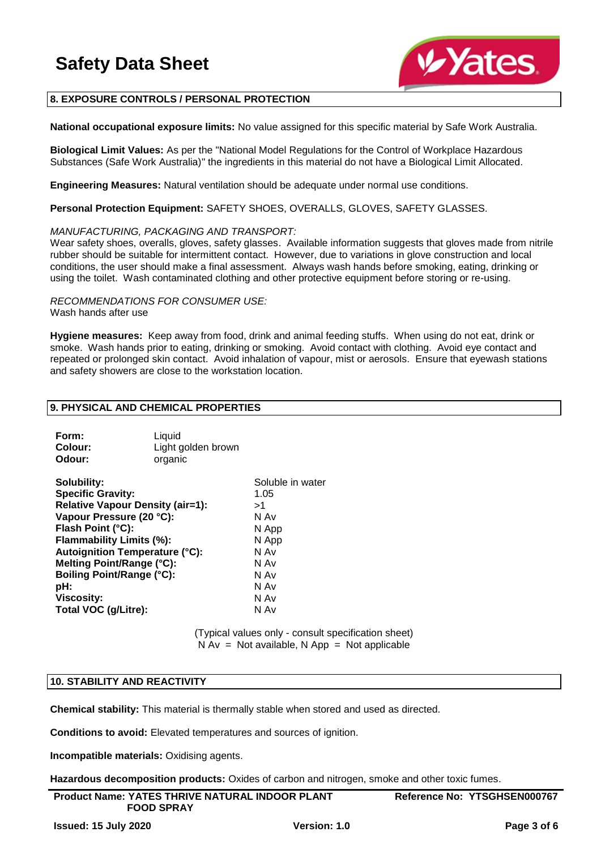

## **8. EXPOSURE CONTROLS / PERSONAL PROTECTION**

**National occupational exposure limits:** No value assigned for this specific material by Safe Work Australia.

**Biological Limit Values:** As per the "National Model Regulations for the Control of Workplace Hazardous Substances (Safe Work Australia)" the ingredients in this material do not have a Biological Limit Allocated.

**Engineering Measures:** Natural ventilation should be adequate under normal use conditions.

**Personal Protection Equipment:** SAFETY SHOES, OVERALLS, GLOVES, SAFETY GLASSES.

#### *MANUFACTURING, PACKAGING AND TRANSPORT:*

Wear safety shoes, overalls, gloves, safety glasses. Available information suggests that gloves made from nitrile rubber should be suitable for intermittent contact. However, due to variations in glove construction and local conditions, the user should make a final assessment. Always wash hands before smoking, eating, drinking or using the toilet. Wash contaminated clothing and other protective equipment before storing or re-using.

*RECOMMENDATIONS FOR CONSUMER USE:* Wash hands after use

**Hygiene measures:** Keep away from food, drink and animal feeding stuffs. When using do not eat, drink or smoke. Wash hands prior to eating, drinking or smoking. Avoid contact with clothing. Avoid eye contact and repeated or prolonged skin contact. Avoid inhalation of vapour, mist or aerosols. Ensure that eyewash stations and safety showers are close to the workstation location.

#### **9. PHYSICAL AND CHEMICAL PROPERTIES**

| Form:<br>Colour:<br>Odour:              | Liquid<br>Light golden brown<br>organic |                  |
|-----------------------------------------|-----------------------------------------|------------------|
| Solubility:                             |                                         | Soluble in water |
| <b>Specific Gravity:</b>                |                                         | 1.05             |
| <b>Relative Vapour Density (air=1):</b> |                                         | >1               |
| Vapour Pressure (20 °C):                |                                         | N Av             |
| Flash Point (°C):                       |                                         | N App            |
| Flammability Limits (%):                |                                         | N App            |
| <b>Autoignition Temperature (°C):</b>   |                                         | N Av             |
| Melting Point/Range (°C):               |                                         | N Av             |
| <b>Boiling Point/Range (°C):</b>        |                                         | N Av             |
| pH:                                     |                                         | N Av             |
| Viscosity:                              |                                         | N Av             |
| Total VOC (g/Litre):                    |                                         | N Av             |

(Typical values only - consult specification sheet)  $N Av = Not available, N App = Not applicable$ 

#### **10. STABILITY AND REACTIVITY**

**Chemical stability:** This material is thermally stable when stored and used as directed.

**Conditions to avoid:** Elevated temperatures and sources of ignition.

**Incompatible materials:** Oxidising agents.

**Hazardous decomposition products:** Oxides of carbon and nitrogen, smoke and other toxic fumes.

| <b>Product Name: YATES THRIVE NATURAL INDOOR PLANT</b> |              | Reference No: YTSGHSEN000767 |
|--------------------------------------------------------|--------------|------------------------------|
| <b>FOOD SPRAY</b>                                      |              |                              |
| <b>Issued: 15 July 2020</b>                            | Version: 1.0 | Page 3 of 6                  |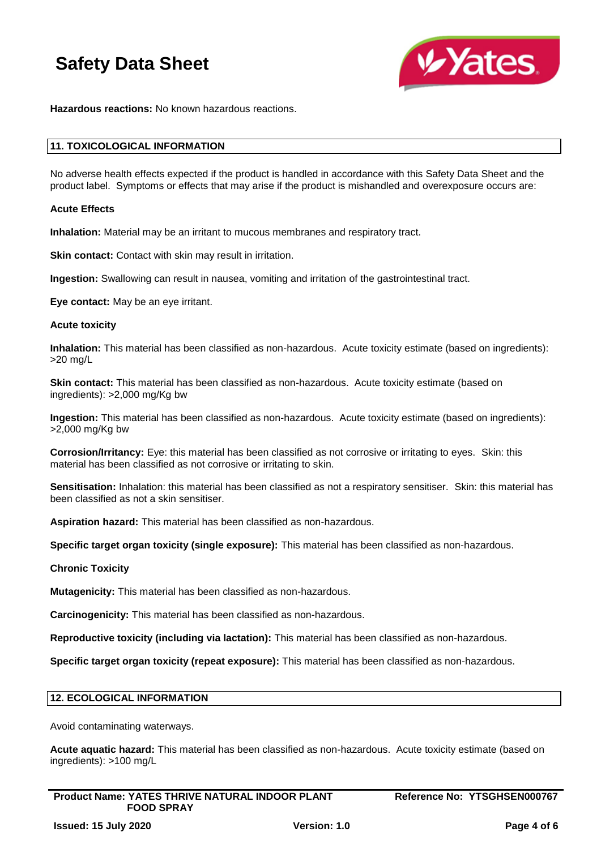

**Hazardous reactions:** No known hazardous reactions.

#### **11. TOXICOLOGICAL INFORMATION**

No adverse health effects expected if the product is handled in accordance with this Safety Data Sheet and the product label. Symptoms or effects that may arise if the product is mishandled and overexposure occurs are:

#### **Acute Effects**

**Inhalation:** Material may be an irritant to mucous membranes and respiratory tract.

**Skin contact:** Contact with skin may result in irritation.

**Ingestion:** Swallowing can result in nausea, vomiting and irritation of the gastrointestinal tract.

**Eye contact:** May be an eye irritant.

#### **Acute toxicity**

**Inhalation:** This material has been classified as non-hazardous. Acute toxicity estimate (based on ingredients): >20 mg/L

**Skin contact:** This material has been classified as non-hazardous. Acute toxicity estimate (based on ingredients): >2,000 mg/Kg bw

**Ingestion:** This material has been classified as non-hazardous. Acute toxicity estimate (based on ingredients): >2,000 mg/Kg bw

**Corrosion/Irritancy:** Eye: this material has been classified as not corrosive or irritating to eyes. Skin: this material has been classified as not corrosive or irritating to skin.

**Sensitisation:** Inhalation: this material has been classified as not a respiratory sensitiser. Skin: this material has been classified as not a skin sensitiser.

**Aspiration hazard:** This material has been classified as non-hazardous.

**Specific target organ toxicity (single exposure):** This material has been classified as non-hazardous.

#### **Chronic Toxicity**

**Mutagenicity:** This material has been classified as non-hazardous.

**Carcinogenicity:** This material has been classified as non-hazardous.

**Reproductive toxicity (including via lactation):** This material has been classified as non-hazardous.

**Specific target organ toxicity (repeat exposure):** This material has been classified as non-hazardous.

#### **12. ECOLOGICAL INFORMATION**

Avoid contaminating waterways.

**Acute aquatic hazard:** This material has been classified as non-hazardous. Acute toxicity estimate (based on ingredients): >100 mg/L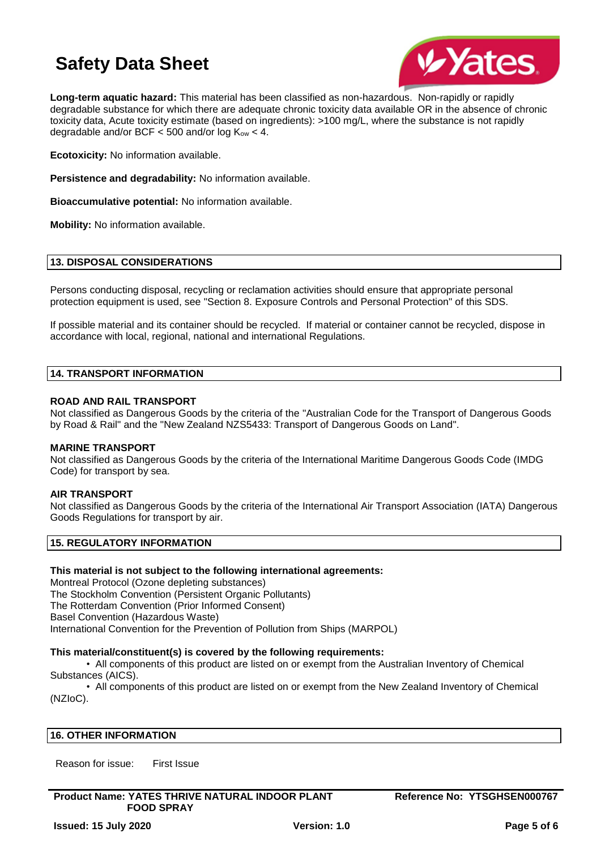

**Long-term aquatic hazard:** This material has been classified as non-hazardous. Non-rapidly or rapidly degradable substance for which there are adequate chronic toxicity data available OR in the absence of chronic toxicity data, Acute toxicity estimate (based on ingredients): >100 mg/L, where the substance is not rapidly degradable and/or BCF  $<$  500 and/or log  $K_{ow}$   $<$  4.

**Ecotoxicity:** No information available.

**Persistence and degradability:** No information available.

**Bioaccumulative potential:** No information available.

**Mobility:** No information available.

### **13. DISPOSAL CONSIDERATIONS**

Persons conducting disposal, recycling or reclamation activities should ensure that appropriate personal protection equipment is used, see "Section 8. Exposure Controls and Personal Protection" of this SDS.

If possible material and its container should be recycled. If material or container cannot be recycled, dispose in accordance with local, regional, national and international Regulations.

#### **14. TRANSPORT INFORMATION**

#### **ROAD AND RAIL TRANSPORT**

Not classified as Dangerous Goods by the criteria of the "Australian Code for the Transport of Dangerous Goods by Road & Rail" and the "New Zealand NZS5433: Transport of Dangerous Goods on Land".

#### **MARINE TRANSPORT**

Not classified as Dangerous Goods by the criteria of the International Maritime Dangerous Goods Code (IMDG Code) for transport by sea.

#### **AIR TRANSPORT**

Not classified as Dangerous Goods by the criteria of the International Air Transport Association (IATA) Dangerous Goods Regulations for transport by air.

## **15. REGULATORY INFORMATION**

#### **This material is not subject to the following international agreements:**

Montreal Protocol (Ozone depleting substances) The Stockholm Convention (Persistent Organic Pollutants) The Rotterdam Convention (Prior Informed Consent) Basel Convention (Hazardous Waste) International Convention for the Prevention of Pollution from Ships (MARPOL)

#### **This material/constituent(s) is covered by the following requirements:**

• All components of this product are listed on or exempt from the Australian Inventory of Chemical Substances (AICS).

• All components of this product are listed on or exempt from the New Zealand Inventory of Chemical (NZIoC).

#### **16. OTHER INFORMATION**

Reason for issue: First Issue

**Product Name: YATES THRIVE NATURAL INDOOR PLANT FOOD SPRAY**